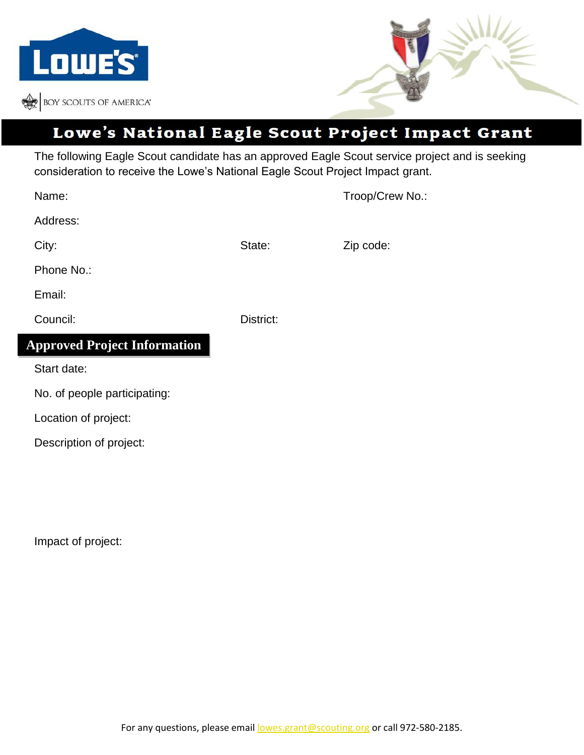



## Lowe's National Eagle Scout Project Impact Grant

The following Eagle Scout candidate has an approved Eagle Scout service project and is seeking consideration to receive the Lowe's National Eagle Scout Project Impact grant.

| Name:                               |           | Troop/Crew No.: |
|-------------------------------------|-----------|-----------------|
| Address:                            |           |                 |
| City:                               | State:    | Zip code:       |
| Phone No.:                          |           |                 |
| Email:                              |           |                 |
| Council:                            | District: |                 |
| <b>Approved Project Information</b> |           |                 |
| Start date:                         |           |                 |
| No. of people participating:        |           |                 |
| Location of project:                |           |                 |
| Description of project:             |           |                 |

Impact of project: